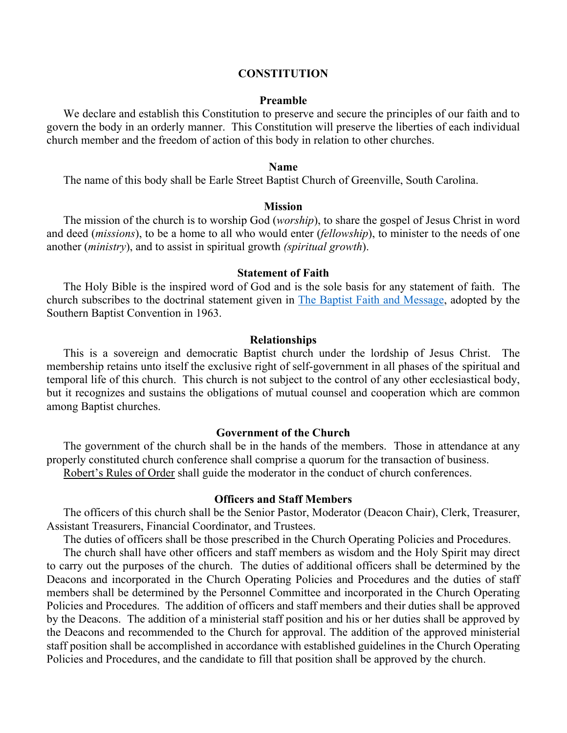## **CONSTITUTION**

#### **Preamble**

We declare and establish this Constitution to preserve and secure the principles of our faith and to govern the body in an orderly manner. This Constitution will preserve the liberties of each individual church member and the freedom of action of this body in relation to other churches.

### **Name**

The name of this body shall be Earle Street Baptist Church of Greenville, South Carolina.

### **Mission**

The mission of the church is to worship God (*worship*), to share the gospel of Jesus Christ in word and deed (*missions*), to be a home to all who would enter (*fellowship*), to minister to the needs of one another (*ministry*), and to assist in spiritual growth *(spiritual growth*).

#### **Statement of Faith**

The Holy Bible is the inspired word of God and is the sole basis for any statement of faith. The church subscribes to the doctrinal statement given in The Baptist Faith and Message, adopted by the Southern Baptist Convention in 1963.

#### **Relationships**

This is a sovereign and democratic Baptist church under the lordship of Jesus Christ. The membership retains unto itself the exclusive right of self-government in all phases of the spiritual and temporal life of this church. This church is not subject to the control of any other ecclesiastical body, but it recognizes and sustains the obligations of mutual counsel and cooperation which are common among Baptist churches.

#### **Government of the Church**

The government of the church shall be in the hands of the members. Those in attendance at any properly constituted church conference shall comprise a quorum for the transaction of business. Robert's Rules of Order shall guide the moderator in the conduct of church conferences.

## **Officers and Staff Members**

The officers of this church shall be the Senior Pastor, Moderator (Deacon Chair), Clerk, Treasurer, Assistant Treasurers, Financial Coordinator, and Trustees.

The duties of officers shall be those prescribed in the Church Operating Policies and Procedures.

The church shall have other officers and staff members as wisdom and the Holy Spirit may direct to carry out the purposes of the church. The duties of additional officers shall be determined by the Deacons and incorporated in the Church Operating Policies and Procedures and the duties of staff members shall be determined by the Personnel Committee and incorporated in the Church Operating Policies and Procedures. The addition of officers and staff members and their duties shall be approved by the Deacons. The addition of a ministerial staff position and his or her duties shall be approved by the Deacons and recommended to the Church for approval. The addition of the approved ministerial staff position shall be accomplished in accordance with established guidelines in the Church Operating Policies and Procedures, and the candidate to fill that position shall be approved by the church.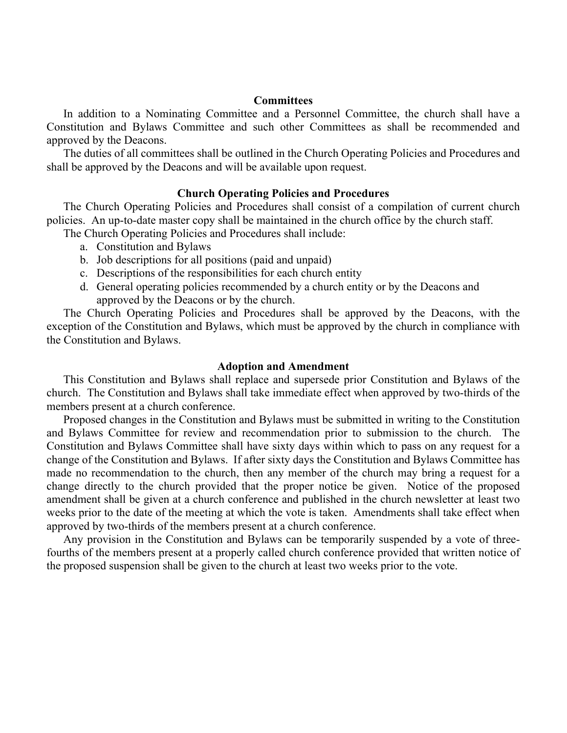## **Committees**

In addition to a Nominating Committee and a Personnel Committee, the church shall have a Constitution and Bylaws Committee and such other Committees as shall be recommended and approved by the Deacons.

The duties of all committees shall be outlined in the Church Operating Policies and Procedures and shall be approved by the Deacons and will be available upon request.

## **Church Operating Policies and Procedures**

The Church Operating Policies and Procedures shall consist of a compilation of current church policies. An up-to-date master copy shall be maintained in the church office by the church staff.

The Church Operating Policies and Procedures shall include:

- a. Constitution and Bylaws
- b. Job descriptions for all positions (paid and unpaid)
- c. Descriptions of the responsibilities for each church entity
- d. General operating policies recommended by a church entity or by the Deacons and approved by the Deacons or by the church.

The Church Operating Policies and Procedures shall be approved by the Deacons, with the exception of the Constitution and Bylaws, which must be approved by the church in compliance with the Constitution and Bylaws.

## **Adoption and Amendment**

This Constitution and Bylaws shall replace and supersede prior Constitution and Bylaws of the church. The Constitution and Bylaws shall take immediate effect when approved by two-thirds of the members present at a church conference.

Proposed changes in the Constitution and Bylaws must be submitted in writing to the Constitution and Bylaws Committee for review and recommendation prior to submission to the church. The Constitution and Bylaws Committee shall have sixty days within which to pass on any request for a change of the Constitution and Bylaws. If after sixty days the Constitution and Bylaws Committee has made no recommendation to the church, then any member of the church may bring a request for a change directly to the church provided that the proper notice be given. Notice of the proposed amendment shall be given at a church conference and published in the church newsletter at least two weeks prior to the date of the meeting at which the vote is taken. Amendments shall take effect when approved by two-thirds of the members present at a church conference.

Any provision in the Constitution and Bylaws can be temporarily suspended by a vote of threefourths of the members present at a properly called church conference provided that written notice of the proposed suspension shall be given to the church at least two weeks prior to the vote.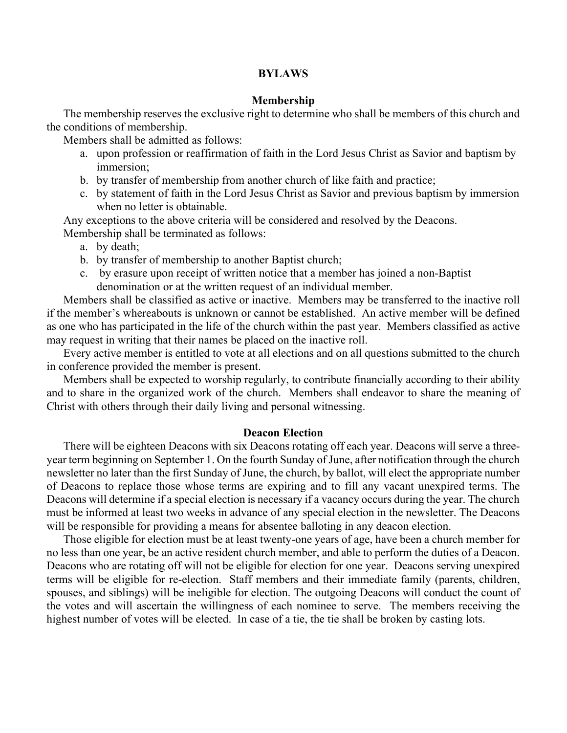## **BYLAWS**

#### **Membership**

The membership reserves the exclusive right to determine who shall be members of this church and the conditions of membership.

Members shall be admitted as follows:

- a. upon profession or reaffirmation of faith in the Lord Jesus Christ as Savior and baptism by immersion;
- b. by transfer of membership from another church of like faith and practice;
- c. by statement of faith in the Lord Jesus Christ as Savior and previous baptism by immersion when no letter is obtainable.

Any exceptions to the above criteria will be considered and resolved by the Deacons. Membership shall be terminated as follows:

- a. by death;
- b. by transfer of membership to another Baptist church;
- c. by erasure upon receipt of written notice that a member has joined a non-Baptist denomination or at the written request of an individual member.

Members shall be classified as active or inactive. Members may be transferred to the inactive roll if the member's whereabouts is unknown or cannot be established. An active member will be defined as one who has participated in the life of the church within the past year. Members classified as active may request in writing that their names be placed on the inactive roll.

Every active member is entitled to vote at all elections and on all questions submitted to the church in conference provided the member is present.

Members shall be expected to worship regularly, to contribute financially according to their ability and to share in the organized work of the church. Members shall endeavor to share the meaning of Christ with others through their daily living and personal witnessing.

## **Deacon Election**

There will be eighteen Deacons with six Deacons rotating off each year. Deacons will serve a threeyear term beginning on September 1. On the fourth Sunday of June, after notification through the church newsletter no later than the first Sunday of June, the church, by ballot, will elect the appropriate number of Deacons to replace those whose terms are expiring and to fill any vacant unexpired terms. The Deacons will determine if a special election is necessary if a vacancy occurs during the year. The church must be informed at least two weeks in advance of any special election in the newsletter. The Deacons will be responsible for providing a means for absentee balloting in any deacon election.

Those eligible for election must be at least twenty-one years of age, have been a church member for no less than one year, be an active resident church member, and able to perform the duties of a Deacon. Deacons who are rotating off will not be eligible for election for one year. Deacons serving unexpired terms will be eligible for re-election. Staff members and their immediate family (parents, children, spouses, and siblings) will be ineligible for election. The outgoing Deacons will conduct the count of the votes and will ascertain the willingness of each nominee to serve. The members receiving the highest number of votes will be elected. In case of a tie, the tie shall be broken by casting lots.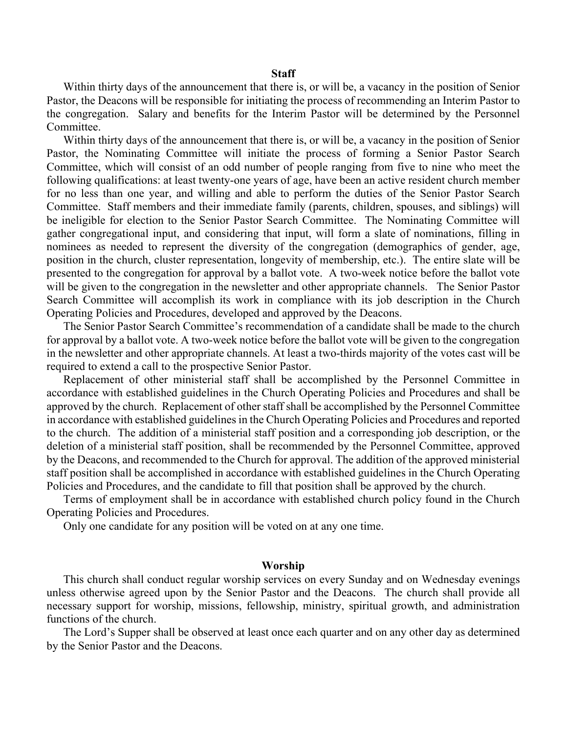### **Staff**

Within thirty days of the announcement that there is, or will be, a vacancy in the position of Senior Pastor, the Deacons will be responsible for initiating the process of recommending an Interim Pastor to the congregation. Salary and benefits for the Interim Pastor will be determined by the Personnel Committee.

Within thirty days of the announcement that there is, or will be, a vacancy in the position of Senior Pastor, the Nominating Committee will initiate the process of forming a Senior Pastor Search Committee, which will consist of an odd number of people ranging from five to nine who meet the following qualifications: at least twenty-one years of age, have been an active resident church member for no less than one year, and willing and able to perform the duties of the Senior Pastor Search Committee. Staff members and their immediate family (parents, children, spouses, and siblings) will be ineligible for election to the Senior Pastor Search Committee. The Nominating Committee will gather congregational input, and considering that input, will form a slate of nominations, filling in nominees as needed to represent the diversity of the congregation (demographics of gender, age, position in the church, cluster representation, longevity of membership, etc.). The entire slate will be presented to the congregation for approval by a ballot vote. A two-week notice before the ballot vote will be given to the congregation in the newsletter and other appropriate channels. The Senior Pastor Search Committee will accomplish its work in compliance with its job description in the Church Operating Policies and Procedures, developed and approved by the Deacons.

The Senior Pastor Search Committee's recommendation of a candidate shall be made to the church for approval by a ballot vote. A two-week notice before the ballot vote will be given to the congregation in the newsletter and other appropriate channels. At least a two-thirds majority of the votes cast will be required to extend a call to the prospective Senior Pastor.

Replacement of other ministerial staff shall be accomplished by the Personnel Committee in accordance with established guidelines in the Church Operating Policies and Procedures and shall be approved by the church. Replacement of other staff shall be accomplished by the Personnel Committee in accordance with established guidelines in the Church Operating Policies and Procedures and reported to the church. The addition of a ministerial staff position and a corresponding job description, or the deletion of a ministerial staff position, shall be recommended by the Personnel Committee, approved by the Deacons, and recommended to the Church for approval. The addition of the approved ministerial staff position shall be accomplished in accordance with established guidelines in the Church Operating Policies and Procedures, and the candidate to fill that position shall be approved by the church.

Terms of employment shall be in accordance with established church policy found in the Church Operating Policies and Procedures.

Only one candidate for any position will be voted on at any one time.

#### **Worship**

This church shall conduct regular worship services on every Sunday and on Wednesday evenings unless otherwise agreed upon by the Senior Pastor and the Deacons. The church shall provide all necessary support for worship, missions, fellowship, ministry, spiritual growth, and administration functions of the church.

The Lord's Supper shall be observed at least once each quarter and on any other day as determined by the Senior Pastor and the Deacons.